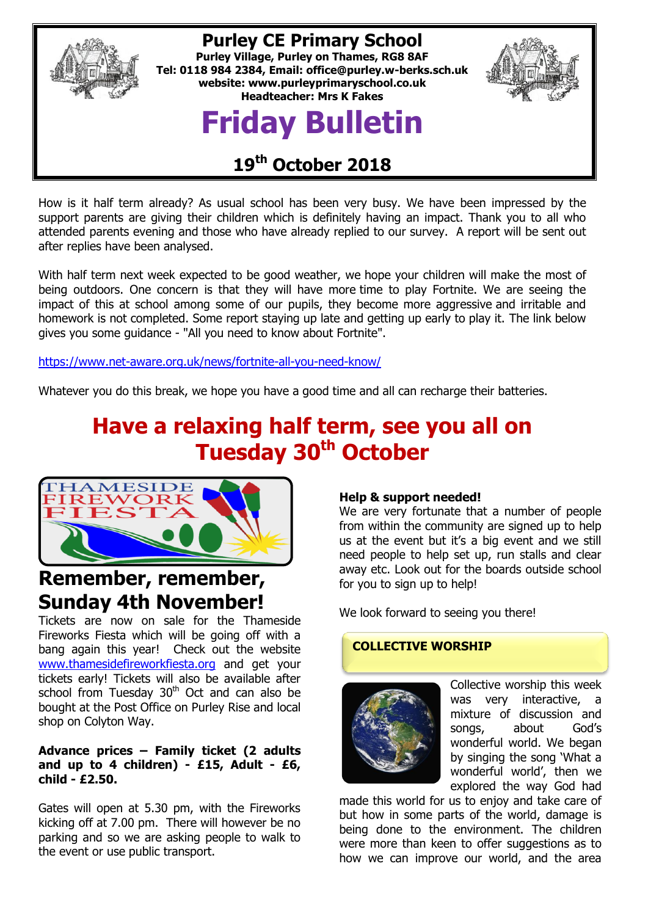

### **Purley CE Primary School**

**Purley Village, Purley on Thames, RG8 8AF Tel: 0118 984 2384, Email: [office@purley.w-berks.sch.uk](mailto:office@purley.w-berks.sch.uk) website: www.purleyprimaryschool.co.uk Headteacher: Mrs K Fakes**

# **Friday Bulletin**



### **19 th October 2018**

How is it half term already? As usual school has been very busy. We have been impressed by the support parents are giving their children which is definitely having an impact. Thank you to all who attended parents evening and those who have already replied to our survey. A report will be sent out after replies have been analysed.

With half term next week expected to be good weather, we hope your children will make the most of being outdoors. One concern is that they will have more time to play Fortnite. We are seeing the impact of this at school among some of our pupils, they become more aggressive and irritable and homework is not completed. Some report staying up late and getting up early to play it. The link below gives you some guidance - "All you need to know about Fortnite".

<https://www.net-aware.org.uk/news/fortnite-all-you-need-know/>

Whatever you do this break, we hope you have a good time and all can recharge their batteries.

## **Have a relaxing half term, see you all on Tuesday 30th October**



### **Remember, remember, Sunday 4th November!**

Tickets are now on sale for the Thameside Fireworks Fiesta which will be going off with a bang again this year! Check out the website [www.thamesidefireworkfiesta.org](http://www.thamesidefireworkfiesta.org/) and get your tickets early! Tickets will also be available after school from Tuesday  $30<sup>th</sup>$  Oct and can also be bought at the Post Office on Purley Rise and local shop on Colyton Way.

#### **Advance prices – Family ticket (2 adults and up to 4 children) - £15, Adult - £6, child - £2.50.**

Gates will open at 5.30 pm, with the Fireworks kicking off at 7.00 pm. There will however be no parking and so we are asking people to walk to the event or use public transport.

#### **Help & support needed!**

We are very fortunate that a number of people from within the community are signed up to help us at the event but it's a big event and we still need people to help set up, run stalls and clear away etc. Look out for the boards outside school for you to sign up to help!

We look forward to seeing you there!

#### **COLLECTIVE WORSHIP**



Collective worship this week was very interactive, a mixture of discussion and songs, about God's wonderful world. We began by singing the song 'What a wonderful world', then we explored the way God had

made this world for us to enjoy and take care of but how in some parts of the world, damage is being done to the environment. The children were more than keen to offer suggestions as to how we can improve our world, and the area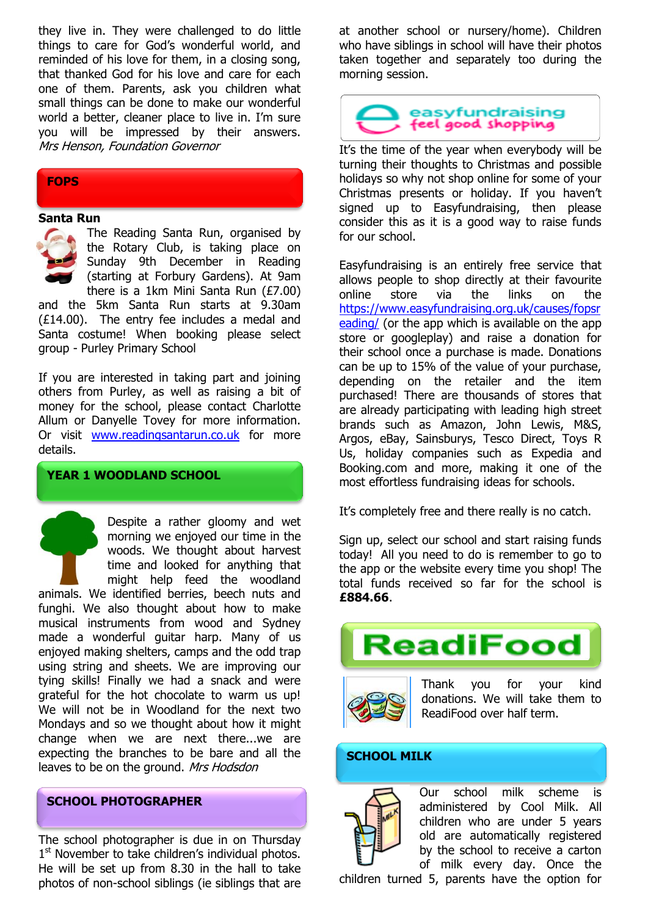they live in. They were challenged to do little things to care for God's wonderful world, and reminded of his love for them, in a closing song, that thanked God for his love and care for each one of them. Parents, ask you children what small things can be done to make our wonderful world a better, cleaner place to live in. I'm sure you will be impressed by their answers. Mrs Henson, Foundation Governor

#### **FOPS**

#### **Santa Run**



The Reading Santa Run, organised by the Rotary Club, is taking place on Sunday 9th December in Reading (starting at Forbury Gardens). At 9am there is a 1km Mini Santa Run (£7.00)

and the 5km Santa Run starts at 9.30am (£14.00). The entry fee includes a medal and Santa costume! When booking please select group - Purley Primary School

If you are interested in taking part and joining others from Purley, as well as raising a bit of money for the school, please contact Charlotte Allum or Danyelle Tovey for more information. Or visit [www.readingsantarun.co.uk](http://www.readingsantarun.co.uk/) for more details.

#### **YEAR 1 WOODLAND SCHOOL**

Despite a rather gloomy and wet morning we enjoyed our time in the woods. We thought about harvest time and looked for anything that might help feed the woodland animals. We identified berries, beech nuts and funghi. We also thought about how to make musical instruments from wood and Sydney made a wonderful guitar harp. Many of us enjoyed making shelters, camps and the odd trap using string and sheets. We are improving our tying skills! Finally we had a snack and were grateful for the hot chocolate to warm us up! We will not be in Woodland for the next two Mondays and so we thought about how it might change when we are next there...we are expecting the branches to be bare and all the leaves to be on the ground. Mrs Hodsdon

#### **SCHOOL PHOTOGRAPHER**

The school photographer is due in on Thursday 1<sup>st</sup> November to take children's individual photos. He will be set up from 8.30 in the hall to take photos of non-school siblings (ie siblings that are

at another school or nursery/home). Children who have siblings in school will have their photos taken together and separately too during the morning session.



It's the time of the year when everybody will be turning their thoughts to Christmas and possible holidays so why not shop online for some of your Christmas presents or holiday. If you haven't signed up to Easyfundraising, then please consider this as it is a good way to raise funds for our school.

Easyfundraising is an entirely free service that allows people to shop directly at their favourite online store via the links on the [https://www.easyfundraising.org.uk/causes/fopsr](https://www.easyfundraising.org.uk/causes/fopsreading/) [eading/](https://www.easyfundraising.org.uk/causes/fopsreading/) (or the app which is available on the app store or googleplay) and raise a donation for their school once a purchase is made. Donations can be up to 15% of the value of your purchase, depending on the retailer and the item purchased! There are thousands of stores that are already participating with leading high street brands such as Amazon, John Lewis, M&S, Argos, eBay, Sainsburys, Tesco Direct, Toys R Us, holiday companies such as Expedia and Booking.com and more, making it one of the most effortless fundraising ideas for schools.

It's completely free and there really is no catch.

Sign up, select our school and start raising funds today! All you need to do is remember to go to the app or the website every time you shop! The total funds received so far for the school is **£884.66**.





Thank you for your kind donations. We will take them to ReadiFood over half term.

#### **SCHOOL MILK**



Our school milk scheme is administered by Cool Milk. All children who are under 5 years old are automatically registered by the school to receive a carton of milk every day. Once the

children turned 5, parents have the option for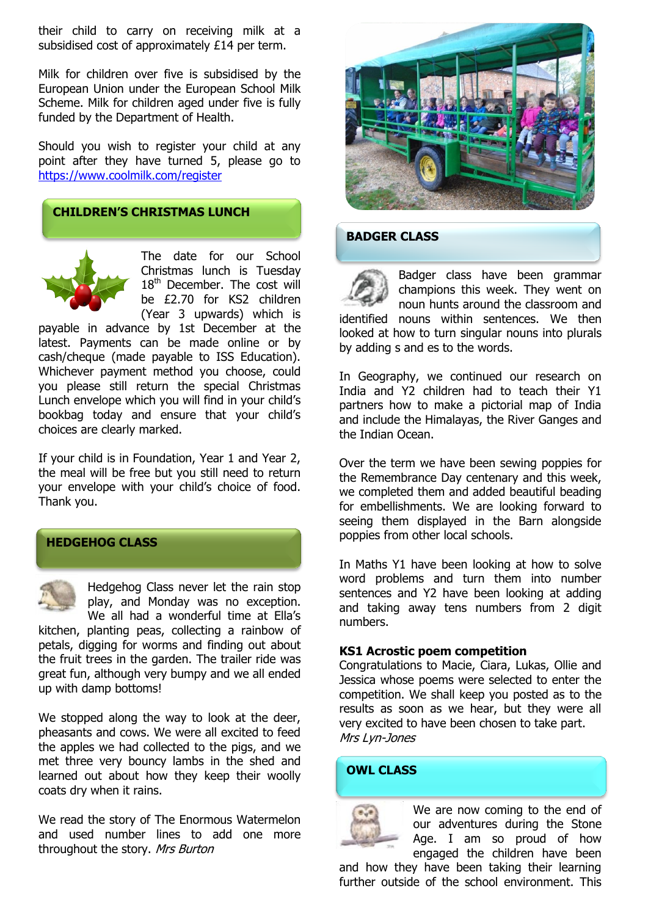their child to carry on receiving milk at a subsidised cost of approximately £14 per term.

Milk for children over five is subsidised by the European Union under the European School Milk Scheme. Milk for children aged under five is fully funded by the Department of Health.

Should you wish to register your child at any point after they have turned 5, please go to <https://www.coolmilk.com/register>

#### **CHILDREN'S CHRISTMAS LUNCH**



The date for our School Christmas lunch is Tuesday 18<sup>th</sup> December. The cost will be £2.70 for KS2 children (Year 3 upwards) which is

payable in advance by 1st December at the latest. Payments can be made online or by cash/cheque (made payable to ISS Education). Whichever payment method you choose, could you please still return the special Christmas Lunch envelope which you will find in your child's bookbag today and ensure that your child's choices are clearly marked.

If your child is in Foundation, Year 1 and Year 2, the meal will be free but you still need to return your envelope with your child's choice of food. Thank you.



**HEDGEHOG CLASS**

Hedgehog Class never let the rain stop play, and Monday was no exception. We all had a wonderful time at Ella's

kitchen, planting peas, collecting a rainbow of petals, digging for worms and finding out about the fruit trees in the garden. The trailer ride was great fun, although very bumpy and we all ended up with damp bottoms!

We stopped along the way to look at the deer, pheasants and cows. We were all excited to feed the apples we had collected to the pigs, and we met three very bouncy lambs in the shed and learned out about how they keep their woolly coats dry when it rains.

We read the story of The Enormous Watermelon and used number lines to add one more throughout the story. Mrs Burton



#### **BADGER CLASS**

Badger class have been grammar champions this week. They went on noun hunts around the classroom and identified nouns within sentences. We then looked at how to turn singular nouns into plurals by adding s and es to the words.

In Geography, we continued our research on India and Y2 children had to teach their Y1 partners how to make a pictorial map of India and include the Himalayas, the River Ganges and the Indian Ocean.

Over the term we have been sewing poppies for the Remembrance Day centenary and this week, we completed them and added beautiful beading for embellishments. We are looking forward to seeing them displayed in the Barn alongside poppies from other local schools.

In Maths Y1 have been looking at how to solve word problems and turn them into number sentences and Y2 have been looking at adding and taking away tens numbers from 2 digit numbers.

#### **KS1 Acrostic poem competition**

Congratulations to Macie, Ciara, Lukas, Ollie and Jessica whose poems were selected to enter the competition. We shall keep you posted as to the results as soon as we hear, but they were all very excited to have been chosen to take part. Mrs Lyn-Jones

#### **OWL CLASS**



We are now coming to the end of our adventures during the Stone Age. I am so proud of how engaged the children have been

and how they have been taking their learning further outside of the school environment. This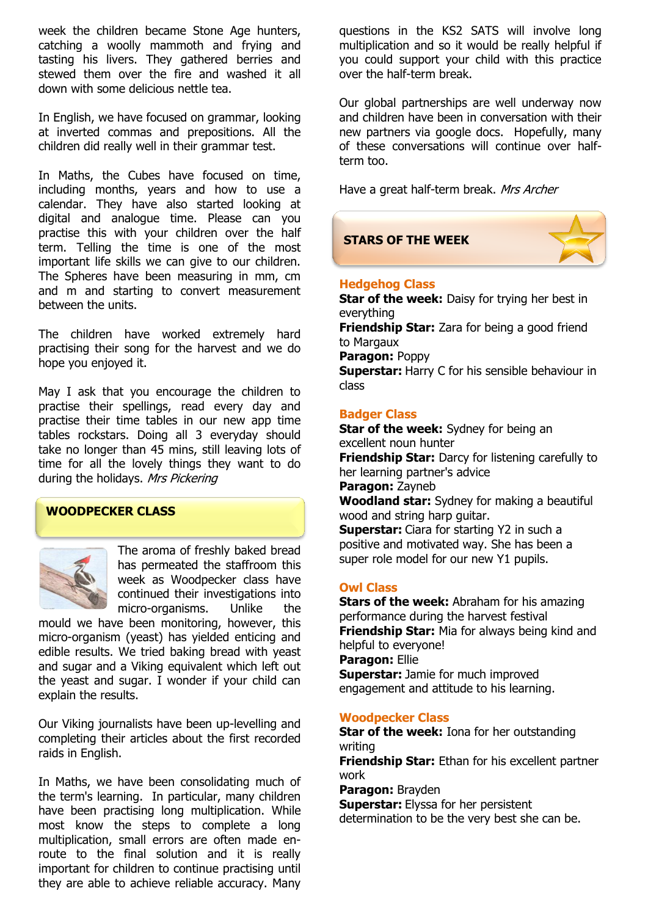week the children became Stone Age hunters, catching a woolly mammoth and frying and tasting his livers. They gathered berries and stewed them over the fire and washed it all down with some delicious nettle tea.

In English, we have focused on grammar, looking at inverted commas and prepositions. All the children did really well in their grammar test.

In Maths, the Cubes have focused on time, including months, years and how to use a calendar. They have also started looking at digital and analogue time. Please can you practise this with your children over the half term. Telling the time is one of the most important life skills we can give to our children. The Spheres have been measuring in mm, cm and m and starting to convert measurement between the units.

The children have worked extremely hard practising their song for the harvest and we do hope you enjoyed it.

May I ask that you encourage the children to practise their spellings, read every day and practise their time tables in our new app time tables rockstars. Doing all 3 everyday should take no longer than 45 mins, still leaving lots of time for all the lovely things they want to do during the holidays. Mrs Pickering

#### **WOODPECKER CLASS**



The aroma of freshly baked bread has permeated the staffroom this week as Woodpecker class have continued their investigations into micro-organisms. Unlike the

mould we have been monitoring, however, this micro-organism (yeast) has yielded enticing and edible results. We tried baking bread with yeast and sugar and a Viking equivalent which left out the yeast and sugar. I wonder if your child can explain the results.

Our Viking journalists have been up-levelling and completing their articles about the first recorded raids in English.

In Maths, we have been consolidating much of the term's learning. In particular, many children have been practising long multiplication. While most know the steps to complete a long multiplication, small errors are often made enroute to the final solution and it is really important for children to continue practising until they are able to achieve reliable accuracy. Many

questions in the KS2 SATS will involve long multiplication and so it would be really helpful if you could support your child with this practice over the half-term break.

Our global partnerships are well underway now and children have been in conversation with their new partners via google docs. Hopefully, many of these conversations will continue over halfterm too.

Have a great half-term break. Mrs Archer

#### **STARS OF THE WEEK**



#### **Hedgehog Class**

**Star of the week:** Daisy for trying her best in everything **Friendship Star:** Zara for being a good friend to Margaux **Paragon:** Poppy **Superstar:** Harry C for his sensible behaviour in class

#### **Badger Class**

**Star of the week:** Sydney for being an excellent noun hunter **Friendship Star:** Darcy for listening carefully to her learning partner's advice **Paragon:** Zayneb **Woodland star:** Sydney for making a beautiful wood and string harp guitar.

**Superstar:** Ciara for starting Y2 in such a positive and motivated way. She has been a super role model for our new Y1 pupils.

#### **Owl Class**

**Stars of the week:** Abraham for his amazing performance during the harvest festival **Friendship Star:** Mia for always being kind and helpful to everyone! **Paragon:** Ellie **Superstar:** Jamie for much improved

engagement and attitude to his learning.

#### **Woodpecker Class**

**Star of the week:** Iona for her outstanding writing

**Friendship Star:** Ethan for his excellent partner work

**Paragon:** Brayden

**Superstar:** Elyssa for her persistent determination to be the very best she can be.